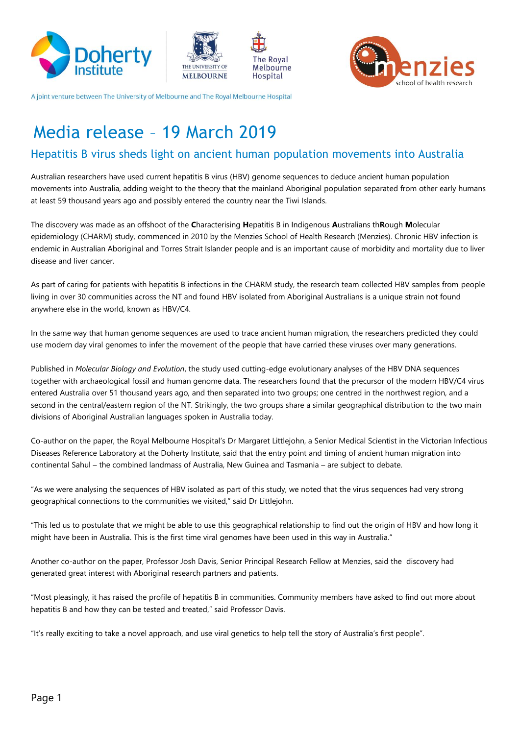







A joint venture between The University of Melbourne and The Royal Melbourne Hospital

# Media release – 19 March 2019

## Hepatitis B virus sheds light on ancient human population movements into Australia

Australian researchers have used current hepatitis B virus (HBV) genome sequences to deduce ancient human population movements into Australia, adding weight to the theory that the mainland Aboriginal population separated from other early humans at least 59 thousand years ago and possibly entered the country near the Tiwi Islands.

The discovery was made as an offshoot of the **C**haracterising **H**epatitis B in Indigenous **A**ustralians th**R**ough **M**olecular epidemiology (CHARM) study, commenced in 2010 by the Menzies School of Health Research (Menzies). Chronic HBV infection is endemic in Australian Aboriginal and Torres Strait Islander people and is an important cause of morbidity and mortality due to liver disease and liver cancer.

As part of caring for patients with hepatitis B infections in the CHARM study, the research team collected HBV samples from people living in over 30 communities across the NT and found HBV isolated from Aboriginal Australians is a unique strain not found anywhere else in the world, known as HBV/C4.

In the same way that human genome sequences are used to trace ancient human migration, the researchers predicted they could use modern day viral genomes to infer the movement of the people that have carried these viruses over many generations.

Published in *Molecular Biology and Evolution*, the study used cutting-edge evolutionary analyses of the HBV DNA sequences together with archaeological fossil and human genome data. The researchers found that the precursor of the modern HBV/C4 virus entered Australia over 51 thousand years ago, and then separated into two groups; one centred in the northwest region, and a second in the central/eastern region of the NT. Strikingly, the two groups share a similar geographical distribution to the two main divisions of Aboriginal Australian languages spoken in Australia today.

Co-author on the paper, the Royal Melbourne Hospital's Dr Margaret Littlejohn, a Senior Medical Scientist in the Victorian Infectious Diseases Reference Laboratory at the Doherty Institute, said that the entry point and timing of ancient human migration into continental Sahul – the combined landmass of Australia, New Guinea and Tasmania – are subject to debate.

"As we were analysing the sequences of HBV isolated as part of this study, we noted that the virus sequences had very strong geographical connections to the communities we visited," said Dr Littlejohn.

"This led us to postulate that we might be able to use this geographical relationship to find out the origin of HBV and how long it might have been in Australia. This is the first time viral genomes have been used in this way in Australia."

Another co-author on the paper, Professor Josh Davis, Senior Principal Research Fellow at Menzies, said the discovery had generated great interest with Aboriginal research partners and patients.

"Most pleasingly, it has raised the profile of hepatitis B in communities. Community members have asked to find out more about hepatitis B and how they can be tested and treated," said Professor Davis.

"It's really exciting to take a novel approach, and use viral genetics to help tell the story of Australia's first people".